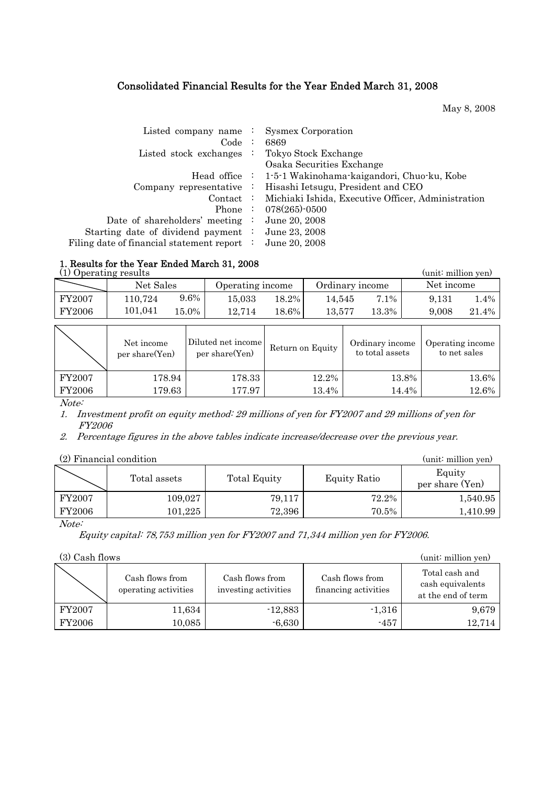# Consolidated Financial Results for the Year Ended March 31, 2008

May 8, 2008

| Listed company name $\cdot$             | <b>Sysmex Corporation</b>                                |
|-----------------------------------------|----------------------------------------------------------|
| Code:                                   | 6869                                                     |
| Listed stock exchanges                  | Tokyo Stock Exchange                                     |
|                                         | Osaka Securities Exchange                                |
|                                         | Head office : 1-5-1 Wakinohama-kaigandori, Chuo-ku, Kobe |
| Company representative $\therefore$     | Hisashi Ietsugu, President and CEO                       |
| $\text{Context}$ :                      | Michiaki Ishida, Executive Officer, Administration       |
| Phone $\vdots$                          | $078(265)$ -0500                                         |
| Date of shareholders' meeting :         | June 20, 2008                                            |
| Starting date of dividend payment :     | June 23, 2008                                            |
| ng date of financial statement report : | June 20, 2008                                            |

#### 1. Results for the Year Ended March 31, 2008

Filing

| (1) Operating results |           |          |                  |          |                 |       | (unit: million yen) |       |
|-----------------------|-----------|----------|------------------|----------|-----------------|-------|---------------------|-------|
|                       | Net Sales |          | Operating income |          | Ordinary income |       | Net income          |       |
| FY2007                | 110,724   | 9.6%     | 15.033           | 18.2%    | 14.545          | 7.1%  | 9,131               | 1.4%  |
| FY2006                | 101,041   | $15.0\%$ | 12.714           | $18.6\%$ | 13.577          | 13.3% | 9.008               | 21.4% |
|                       |           |          |                  |          |                 |       |                     |       |

|        | Net income<br>per share(Yen) | Diluted net income<br>per share(Yen) | Return on Equity | Ordinary income<br>to total assets | Operating income<br>to net sales |
|--------|------------------------------|--------------------------------------|------------------|------------------------------------|----------------------------------|
| FY2007 | 178.94                       | 178.33                               | 12.2%            | 13.8%                              | 13.6%                            |
| FY2006 | 179.63                       | 177.97                               | 13.4%            | 14.4%                              | 12.6%                            |

Note:

1. Investment profit on equity method: 29 millions of yen for FY2007 and 29 millions of yen for FY2006

2. Percentage figures in the above tables indicate increase/decrease over the previous year.

| (2) Financial condition | (unit: million yen) |                     |              |                           |
|-------------------------|---------------------|---------------------|--------------|---------------------------|
|                         | Total assets        | <b>Total Equity</b> | Equity Ratio | Equity<br>per share (Yen) |
| FY2007                  | 109,027             | 79,117              | 72.2%        | 1,540.95                  |
| FY2006                  | 101,225             | 72,396              | $70.5\%$     | 1,410.99                  |

#### Note:

Equity capital: 78,753 million yen for FY2007 and 71,344 million yen for FY2006.

(3) Cash flows (unit: million yen)

|        | Cash flows from<br>operating activities | Cash flows from<br>investing activities | Cash flows from<br>financing activities | Total cash and<br>cash equivalents<br>at the end of term |
|--------|-----------------------------------------|-----------------------------------------|-----------------------------------------|----------------------------------------------------------|
| FY2007 | 11,634                                  | $-12,883$                               | $-1,316$                                | 9,679                                                    |
| FY2006 | 10,085                                  | $-6,630$                                | $-457$                                  | 12.714                                                   |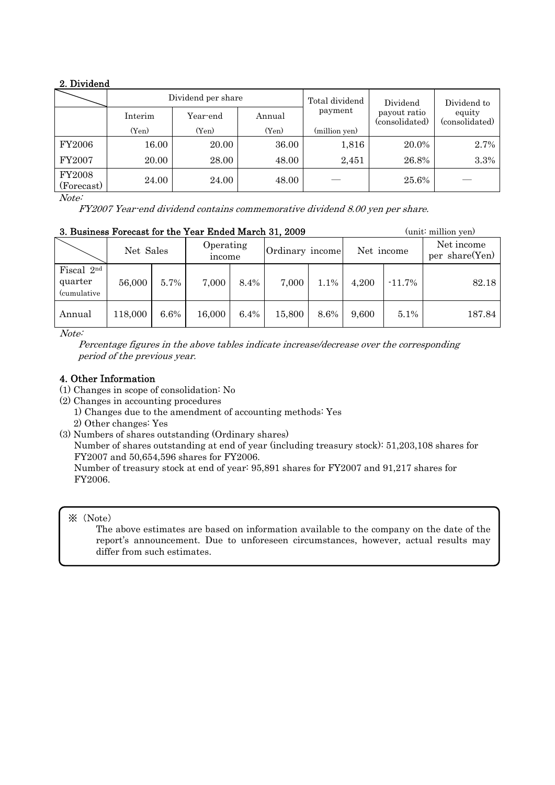# 2. Dividend

|                             |         | Dividend per share |        | Total dividend | Dividend                       | Dividend to              |  |
|-----------------------------|---------|--------------------|--------|----------------|--------------------------------|--------------------------|--|
|                             | Interim | Year-end           | Annual | payment        | payout ratio<br>(consolidated) | equity<br>(consolidated) |  |
|                             | (Yen)   | (Yen)              | (Yen)  | (million yen)  |                                |                          |  |
| <b>FY2006</b>               | 16.00   | 20.00              | 36.00  | 1,816          | 20.0%                          | 2.7%                     |  |
| FY2007                      | 20.00   | 28.00              | 48.00  | 2,451          | 26.8%                          | 3.3%                     |  |
| <b>FY2008</b><br>(Forecast) | 24.00   | 24.00              | 48.00  |                | 25.6%                          |                          |  |

Note:

FY2007 Year-end dividend contains commemorative dividend 8.00 yen per share.

| 3. Business Forecast for the Year Ended March 31, 2009 |           |         |                     |         |                 |      |            |           | (unit: million yen)          |
|--------------------------------------------------------|-----------|---------|---------------------|---------|-----------------|------|------------|-----------|------------------------------|
|                                                        | Net Sales |         | Operating<br>income |         | Ordinary income |      | Net income |           | Net income<br>per share(Yen) |
| Fiscal 2nd<br>quarter<br><i>(cumulative)</i>           | 56,000    | $5.7\%$ | 7.000               | 8.4%    | 7,000           | 1.1% | 4,200      | $-11.7\%$ | 82.18                        |
| Annual                                                 | 118,000   | $6.6\%$ | 16,000              | $6.4\%$ | 15,800          | 8.6% | 9,600      | $5.1\%$   | 187.84                       |

Note:

 Percentage figures in the above tables indicate increase/decrease over the corresponding period of the previous year.

## 4. Other Information

- (1) Changes in scope of consolidation: No
- (2) Changes in accounting procedures
	- 1) Changes due to the amendment of accounting methods: Yes
	- 2) Other changes: Yes
- (3) Numbers of shares outstanding (Ordinary shares)

Number of shares outstanding at end of year (including treasury stock): 51,203,108 shares for FY2007 and 50,654,596 shares for FY2006.

Number of treasury stock at end of year: 95,891 shares for FY2007 and 91,217 shares for FY2006.

#### ※(Note)

The above estimates are based on information available to the company on the date of the report's announcement. Due to unforeseen circumstances, however, actual results may differ from such estimates.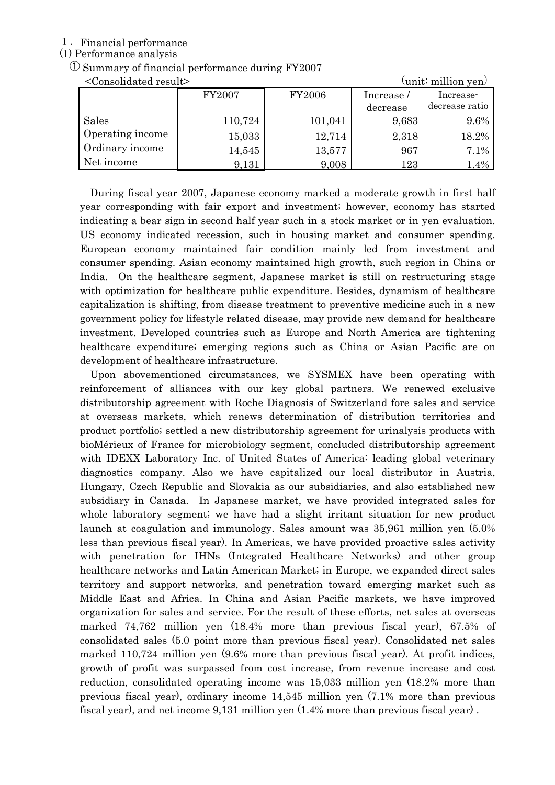## 1.Financial performance

## (1) Performance analysis

## ① Summary of financial performance during FY2007

| <consolidated result=""></consolidated> |         |               |           | $\text{(unit: million yen)}$ |
|-----------------------------------------|---------|---------------|-----------|------------------------------|
|                                         | FY2007  | <b>FY2006</b> | Increase/ | Increase-                    |
|                                         |         |               | decrease  | decrease ratio               |
| Sales                                   | 110,724 | 101,041       | 9,683     | 9.6%                         |
| Operating income                        | 15,033  | 12,714        | 2,318     | 18.2%                        |
| Ordinary income                         | 14,545  | 13,577        | 967       | 7.1%                         |
| Net income                              | 9,131   | 9,008         | 123       | 1.4%                         |

During fiscal year 2007, Japanese economy marked a moderate growth in first half year corresponding with fair export and investment; however, economy has started indicating a bear sign in second half year such in a stock market or in yen evaluation. US economy indicated recession, such in housing market and consumer spending. European economy maintained fair condition mainly led from investment and consumer spending. Asian economy maintained high growth, such region in China or India. On the healthcare segment, Japanese market is still on restructuring stage with optimization for healthcare public expenditure. Besides, dynamism of healthcare capitalization is shifting, from disease treatment to preventive medicine such in a new government policy for lifestyle related disease, may provide new demand for healthcare investment. Developed countries such as Europe and North America are tightening healthcare expenditure; emerging regions such as China or Asian Pacific are on development of healthcare infrastructure.

Upon abovementioned circumstances, we SYSMEX have been operating with reinforcement of alliances with our key global partners. We renewed exclusive distributorship agreement with Roche Diagnosis of Switzerland fore sales and service at overseas markets, which renews determination of distribution territories and product portfolio; settled a new distributorship agreement for urinalysis products with bioMérieux of France for microbiology segment, concluded distributorship agreement with IDEXX Laboratory Inc. of United States of America: leading global veterinary diagnostics company. Also we have capitalized our local distributor in Austria, Hungary, Czech Republic and Slovakia as our subsidiaries, and also established new subsidiary in Canada. In Japanese market, we have provided integrated sales for whole laboratory segment; we have had a slight irritant situation for new product launch at coagulation and immunology. Sales amount was 35,961 million yen (5.0% less than previous fiscal year). In Americas, we have provided proactive sales activity with penetration for IHNs (Integrated Healthcare Networks) and other group healthcare networks and Latin American Market; in Europe, we expanded direct sales territory and support networks, and penetration toward emerging market such as Middle East and Africa. In China and Asian Pacific markets, we have improved organization for sales and service. For the result of these efforts, net sales at overseas marked 74,762 million yen (18.4% more than previous fiscal year), 67.5% of consolidated sales (5.0 point more than previous fiscal year). Consolidated net sales marked 110,724 million yen (9.6% more than previous fiscal year). At profit indices, growth of profit was surpassed from cost increase, from revenue increase and cost reduction, consolidated operating income was 15,033 million yen (18.2% more than previous fiscal year), ordinary income 14,545 million yen (7.1% more than previous fiscal year), and net income 9,131 million yen (1.4% more than previous fiscal year) .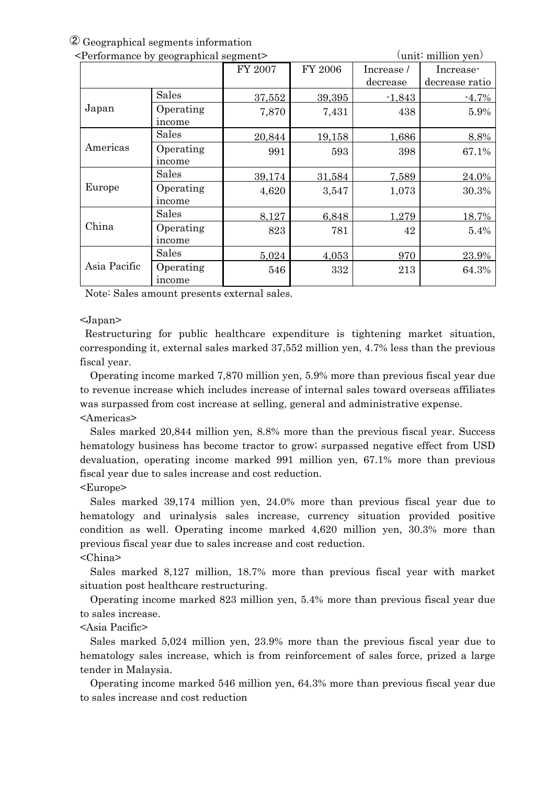② Geographical segments information

| <performance by="" geographical="" segment=""></performance> |                     |         |         |            | $\text{(unit: million yen)}$ |
|--------------------------------------------------------------|---------------------|---------|---------|------------|------------------------------|
|                                                              |                     | FY 2007 | FY 2006 | Increase / | Increase-                    |
|                                                              |                     |         |         | decrease   | decrease ratio               |
|                                                              | <b>Sales</b>        | 37,552  | 39,395  | $-1,843$   | $-4.7%$                      |
| Japan                                                        | Operating<br>income | 7,870   | 7,431   | 438        | 5.9%                         |
|                                                              | Sales               | 20,844  | 19,158  | 1,686      | 8.8%                         |
| Americas                                                     | Operating<br>income | 991     | 593     | 398        | 67.1%                        |
|                                                              | Sales               | 39,174  | 31,584  | 7,589      | 24.0%                        |
| Europe                                                       | Operating<br>income | 4,620   | 3,547   | 1,073      | 30.3%                        |
|                                                              | Sales               | 8,127   | 6,848   | 1,279      | 18.7%                        |
| China                                                        | Operating<br>income | 823     | 781     | 42         | 5.4%                         |
|                                                              | Sales               | 5,024   | 4,053   | 970        | 23.9%                        |
| Asia Pacific                                                 | Operating<br>income | 546     | 332     | 213        | 64.3%                        |

Note: Sales amount presents external sales.

#### <Japan>

Restructuring for public healthcare expenditure is tightening market situation, corresponding it, external sales marked 37,552 million yen, 4.7% less than the previous fiscal year.

Operating income marked 7,870 million yen, 5.9% more than previous fiscal year due to revenue increase which includes increase of internal sales toward overseas affiliates was surpassed from cost increase at selling, general and administrative expense. <Americas>

Sales marked 20,844 million yen, 8.8% more than the previous fiscal year. Success hematology business has become tractor to grow; surpassed negative effect from USD devaluation, operating income marked 991 million yen, 67.1% more than previous fiscal year due to sales increase and cost reduction.

#### <Europe>

Sales marked 39,174 million yen, 24.0% more than previous fiscal year due to hematology and urinalysis sales increase, currency situation provided positive condition as well. Operating income marked 4,620 million yen, 30.3% more than previous fiscal year due to sales increase and cost reduction.

## <China>

Sales marked 8,127 million, 18.7% more than previous fiscal year with market situation post healthcare restructuring.

Operating income marked 823 million yen, 5.4% more than previous fiscal year due to sales increase.

## <Asia Pacific>

Sales marked 5,024 million yen, 23.9% more than the previous fiscal year due to hematology sales increase, which is from reinforcement of sales force, prized a large tender in Malaysia.

Operating income marked 546 million yen, 64.3% more than previous fiscal year due to sales increase and cost reduction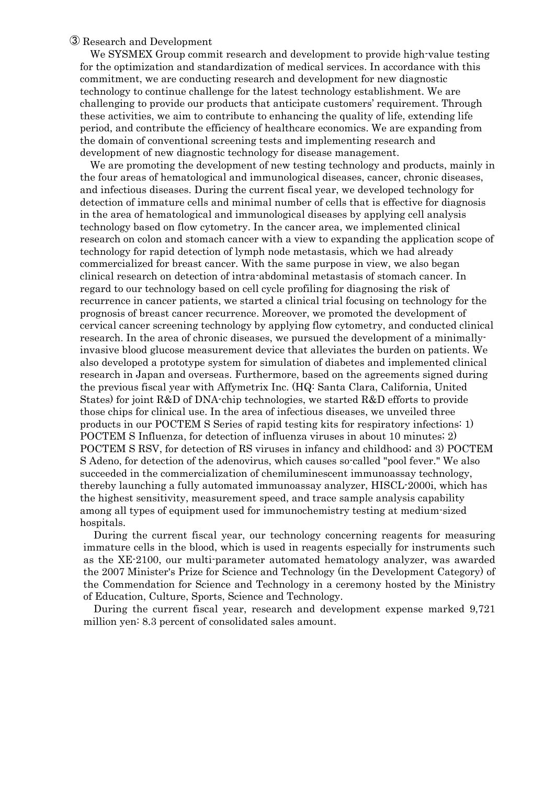#### ③ Research and Development

We SYSMEX Group commit research and development to provide high-value testing for the optimization and standardization of medical services. In accordance with this commitment, we are conducting research and development for new diagnostic technology to continue challenge for the latest technology establishment. We are challenging to provide our products that anticipate customers' requirement. Through these activities, we aim to contribute to enhancing the quality of life, extending life period, and contribute the efficiency of healthcare economics. We are expanding from the domain of conventional screening tests and implementing research and development of new diagnostic technology for disease management.

We are promoting the development of new testing technology and products, mainly in the four areas of hematological and immunological diseases, cancer, chronic diseases, and infectious diseases. During the current fiscal year, we developed technology for detection of immature cells and minimal number of cells that is effective for diagnosis in the area of hematological and immunological diseases by applying cell analysis technology based on flow cytometry. In the cancer area, we implemented clinical research on colon and stomach cancer with a view to expanding the application scope of technology for rapid detection of lymph node metastasis, which we had already commercialized for breast cancer. With the same purpose in view, we also began clinical research on detection of intra-abdominal metastasis of stomach cancer. In regard to our technology based on cell cycle profiling for diagnosing the risk of recurrence in cancer patients, we started a clinical trial focusing on technology for the prognosis of breast cancer recurrence. Moreover, we promoted the development of cervical cancer screening technology by applying flow cytometry, and conducted clinical research. In the area of chronic diseases, we pursued the development of a minimallyinvasive blood glucose measurement device that alleviates the burden on patients. We also developed a prototype system for simulation of diabetes and implemented clinical research in Japan and overseas. Furthermore, based on the agreements signed during the previous fiscal year with Affymetrix Inc. (HQ: Santa Clara, California, United States) for joint R&D of DNA-chip technologies, we started R&D efforts to provide those chips for clinical use. In the area of infectious diseases, we unveiled three products in our POCTEM S Series of rapid testing kits for respiratory infections: 1) POCTEM S Influenza, for detection of influenza viruses in about 10 minutes; 2) POCTEM S RSV, for detection of RS viruses in infancy and childhood; and 3) POCTEM S Adeno, for detection of the adenovirus, which causes so-called "pool fever." We also succeeded in the commercialization of chemiluminescent immunoassay technology, thereby launching a fully automated immunoassay analyzer, HISCL-2000i, which has the highest sensitivity, measurement speed, and trace sample analysis capability among all types of equipment used for immunochemistry testing at medium-sized hospitals.

During the current fiscal year, our technology concerning reagents for measuring immature cells in the blood, which is used in reagents especially for instruments such as the XE-2100, our multi-parameter automated hematology analyzer, was awarded the 2007 Minister's Prize for Science and Technology (in the Development Category) of the Commendation for Science and Technology in a ceremony hosted by the Ministry of Education, Culture, Sports, Science and Technology.

During the current fiscal year, research and development expense marked 9,721 million yen: 8.3 percent of consolidated sales amount.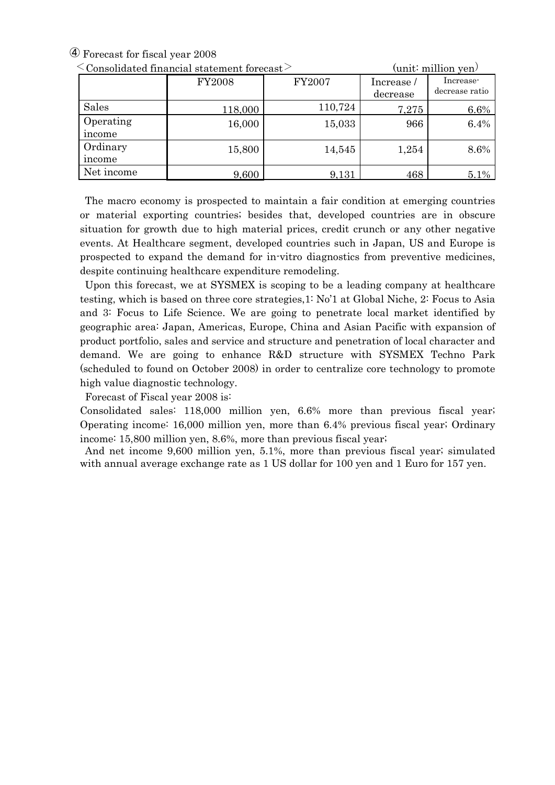④ Forecast for fiscal year 2008

| $\sim$ Consonuateu miancial statement forecast $\sim$ |               | yumu milimuu yen |                        |                             |
|-------------------------------------------------------|---------------|------------------|------------------------|-----------------------------|
|                                                       | <b>FY2008</b> | FY2007           | Increase /<br>decrease | Increase-<br>decrease ratio |
| Sales                                                 | 118,000       | 110,724          | 7,275                  | 6.6%                        |
| Operating                                             | 16,000        | 15,033           | 966                    | 6.4%                        |
| income                                                |               |                  |                        |                             |
| Ordinary                                              |               | 14,545           | 1,254                  | 8.6%                        |
| income                                                |               |                  |                        |                             |
| Net income                                            | 9,600         | 9,131            | 468                    | 5.1%                        |
|                                                       | 15,800        |                  |                        |                             |

 $\leq$  Consolidated financial statement forecast  $\geq$  (unit: million yen)

The macro economy is prospected to maintain a fair condition at emerging countries or material exporting countries; besides that, developed countries are in obscure situation for growth due to high material prices, credit crunch or any other negative events. At Healthcare segment, developed countries such in Japan, US and Europe is prospected to expand the demand for in-vitro diagnostics from preventive medicines, despite continuing healthcare expenditure remodeling.

Upon this forecast, we at SYSMEX is scoping to be a leading company at healthcare testing, which is based on three core strategies,1: No'1 at Global Niche, 2: Focus to Asia and 3: Focus to Life Science. We are going to penetrate local market identified by geographic area: Japan, Americas, Europe, China and Asian Pacific with expansion of product portfolio, sales and service and structure and penetration of local character and demand. We are going to enhance R&D structure with SYSMEX Techno Park (scheduled to found on October 2008) in order to centralize core technology to promote high value diagnostic technology.

Forecast of Fiscal year 2008 is:

Consolidated sales: 118,000 million yen, 6.6% more than previous fiscal year; Operating income: 16,000 million yen, more than 6.4% previous fiscal year; Ordinary income: 15,800 million yen, 8.6%, more than previous fiscal year;

 And net income 9,600 million yen, 5.1%, more than previous fiscal year; simulated with annual average exchange rate as 1 US dollar for 100 yen and 1 Euro for 157 yen.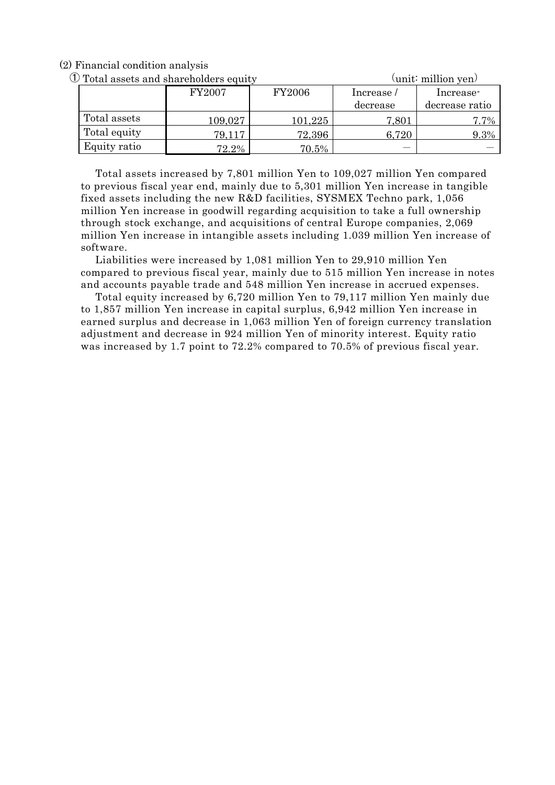(2) Financial condition analysis

① Total assets and shareholders equity (unit: million yen)

| Total assets and shareholders equity |         |               |           | \umit} inimon yen/ |
|--------------------------------------|---------|---------------|-----------|--------------------|
|                                      | FY2007  | <b>FY2006</b> | Increase/ | Increase           |
|                                      |         |               | decrease  | decrease ratio     |
| Total assets                         | 109,027 | 101,225       | 7,801     | $7.7\%$            |
| Total equity                         | 79,117  | 72,396        | 6,720     | 9.3%               |
| Equity ratio                         | 72.2%   | $70.5\%$      |           |                    |

Total assets increased by 7,801 million Yen to 109,027 million Yen compared to previous fiscal year end, mainly due to 5,301 million Yen increase in tangible fixed assets including the new R&D facilities, SYSMEX Techno park, 1,056 million Yen increase in goodwill regarding acquisition to take a full ownership through stock exchange, and acquisitions of central Europe companies, 2,069 million Yen increase in intangible assets including 1.039 million Yen increase of software.

Liabilities were increased by 1,081 million Yen to 29,910 million Yen compared to previous fiscal year, mainly due to 515 million Yen increase in notes and accounts payable trade and 548 million Yen increase in accrued expenses.

Total equity increased by 6,720 million Yen to 79,117 million Yen mainly due to 1,857 million Yen increase in capital surplus, 6,942 million Yen increase in earned surplus and decrease in 1,063 million Yen of foreign currency translation adjustment and decrease in 924 million Yen of minority interest. Equity ratio was increased by 1.7 point to 72.2% compared to 70.5% of previous fiscal year.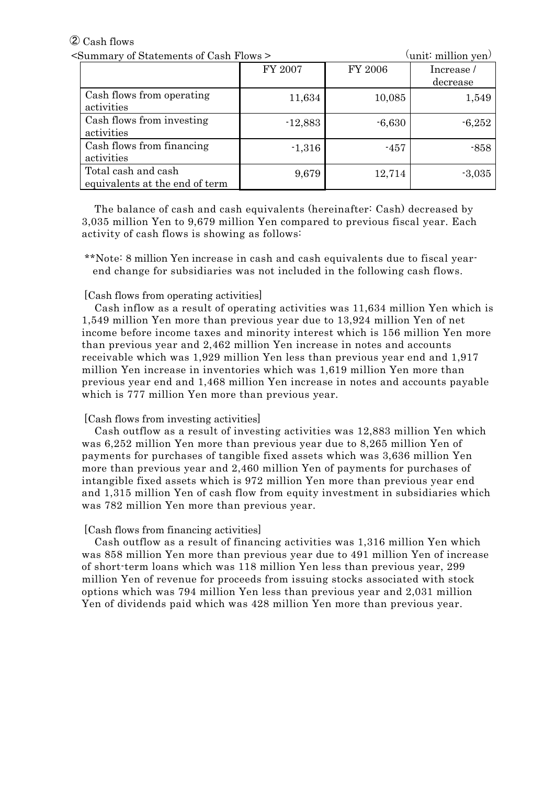# ② Cash flows

| <summary cash="" flows="" of="" statements=""></summary> |           | $\text{(unit: million yen)}$ |           |  |
|----------------------------------------------------------|-----------|------------------------------|-----------|--|
|                                                          | FY 2007   | FY 2006                      | Increase/ |  |
|                                                          |           |                              | decrease  |  |
| Cash flows from operating<br>activities                  | 11,634    | 10,085                       | 1,549     |  |
| Cash flows from investing<br>activities                  | $-12,883$ | $-6,630$                     | $-6,252$  |  |
| Cash flows from financing<br>activities                  | $-1,316$  | $-457$                       | $-858$    |  |
| Total cash and cash<br>equivalents at the end of term    | 9,679     | 12,714                       | $-3,035$  |  |

The balance of cash and cash equivalents (hereinafter: Cash) decreased by 3,035 million Yen to 9,679 million Yen compared to previous fiscal year. Each activity of cash flows is showing as follows:

\*\*Note: 8 million Yen increase in cash and cash equivalents due to fiscal yearend change for subsidiaries was not included in the following cash flows.

#### [Cash flows from operating activities]

Cash inflow as a result of operating activities was 11,634 million Yen which is 1,549 million Yen more than previous year due to 13,924 million Yen of net income before income taxes and minority interest which is 156 million Yen more than previous year and 2,462 million Yen increase in notes and accounts receivable which was 1,929 million Yen less than previous year end and 1,917 million Yen increase in inventories which was 1,619 million Yen more than previous year end and 1,468 million Yen increase in notes and accounts payable which is 777 million Yen more than previous year.

#### [Cash flows from investing activities]

Cash outflow as a result of investing activities was 12,883 million Yen which was 6,252 million Yen more than previous year due to 8,265 million Yen of payments for purchases of tangible fixed assets which was 3,636 million Yen more than previous year and 2,460 million Yen of payments for purchases of intangible fixed assets which is 972 million Yen more than previous year end and 1,315 million Yen of cash flow from equity investment in subsidiaries which was 782 million Yen more than previous year.

#### [Cash flows from financing activities]

Cash outflow as a result of financing activities was 1,316 million Yen which was 858 million Yen more than previous year due to 491 million Yen of increase of short-term loans which was 118 million Yen less than previous year, 299 million Yen of revenue for proceeds from issuing stocks associated with stock options which was 794 million Yen less than previous year and 2,031 million Yen of dividends paid which was 428 million Yen more than previous year.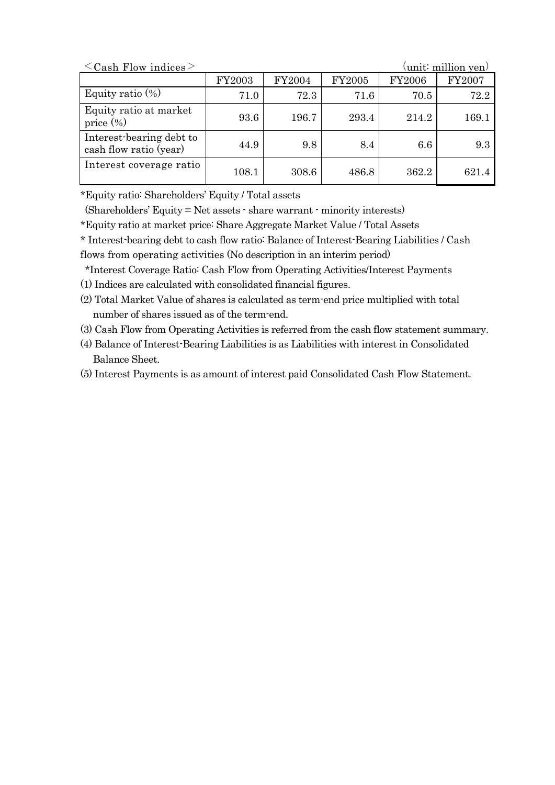| $\langle$ Cash Flow indices $\rangle$              |        |        |        |         | $\left(\text{unit: million yen}\right)$ |
|----------------------------------------------------|--------|--------|--------|---------|-----------------------------------------|
|                                                    | FY2003 | FY2004 | FY2005 | FY2006  | <b>FY2007</b>                           |
| Equity ratio $(\%)$                                | 71.0   | 72.3   | 71.6   | 70.5    | 72.2                                    |
| Equity ratio at market<br>price $(\%)$             | 93.6   | 196.7  | 293.4  | 214.2   | 169.1                                   |
| Interest-bearing debt to<br>cash flow ratio (year) | 44.9   | 9.8    | 8.4    | $6.6\,$ | 9.3                                     |
| Interest coverage ratio                            | 108.1  | 308.6  | 486.8  | 362.2   | 621.4                                   |

\*Equity ratio: Shareholders' Equity / Total assets

(Shareholders' Equity = Net assets - share warrant - minority interests)

\*Equity ratio at market price: Share Aggregate Market Value / Total Assets

\* Interest-bearing debt to cash flow ratio: Balance of Interest-Bearing Liabilities / Cash

flows from operating activities (No description in an interim period)

\*Interest Coverage Ratio: Cash Flow from Operating Activities/Interest Payments

(1) Indices are calculated with consolidated financial figures.

(2) Total Market Value of shares is calculated as term-end price multiplied with total number of shares issued as of the term-end.

(3) Cash Flow from Operating Activities is referred from the cash flow statement summary.

(4) Balance of Interest-Bearing Liabilities is as Liabilities with interest in Consolidated Balance Sheet.

(5) Interest Payments is as amount of interest paid Consolidated Cash Flow Statement.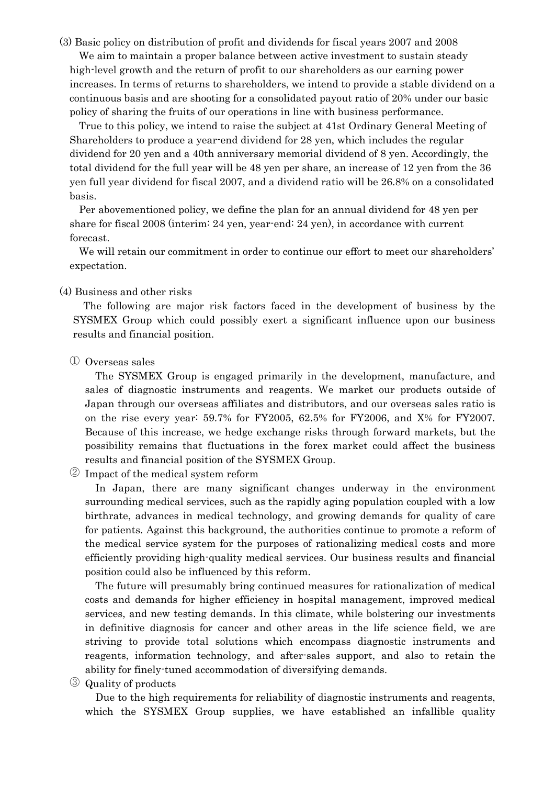(3) Basic policy on distribution of profit and dividends for fiscal years 2007 and 2008 We aim to maintain a proper balance between active investment to sustain steady high-level growth and the return of profit to our shareholders as our earning power increases. In terms of returns to shareholders, we intend to provide a stable dividend on a continuous basis and are shooting for a consolidated payout ratio of 20% under our basic policy of sharing the fruits of our operations in line with business performance.

True to this policy, we intend to raise the subject at 41st Ordinary General Meeting of Shareholders to produce a year-end dividend for 28 yen, which includes the regular dividend for 20 yen and a 40th anniversary memorial dividend of 8 yen. Accordingly, the total dividend for the full year will be 48 yen per share, an increase of 12 yen from the 36 yen full year dividend for fiscal 2007, and a dividend ratio will be 26.8% on a consolidated basis.

Per abovementioned policy, we define the plan for an annual dividend for 48 yen per share for fiscal 2008 (interim: 24 yen, year-end: 24 yen), in accordance with current forecast.

We will retain our commitment in order to continue our effort to meet our shareholders' expectation.

#### (4) Business and other risks

The following are major risk factors faced in the development of business by the SYSMEX Group which could possibly exert a significant influence upon our business results and financial position.

① Overseas sales

The SYSMEX Group is engaged primarily in the development, manufacture, and sales of diagnostic instruments and reagents. We market our products outside of Japan through our overseas affiliates and distributors, and our overseas sales ratio is on the rise every year: 59.7% for FY2005, 62.5% for FY2006, and X% for FY2007. Because of this increase, we hedge exchange risks through forward markets, but the possibility remains that fluctuations in the forex market could affect the business results and financial position of the SYSMEX Group.

② Impact of the medical system reform

In Japan, there are many significant changes underway in the environment surrounding medical services, such as the rapidly aging population coupled with a low birthrate, advances in medical technology, and growing demands for quality of care for patients. Against this background, the authorities continue to promote a reform of the medical service system for the purposes of rationalizing medical costs and more efficiently providing high-quality medical services. Our business results and financial position could also be influenced by this reform.

The future will presumably bring continued measures for rationalization of medical costs and demands for higher efficiency in hospital management, improved medical services, and new testing demands. In this climate, while bolstering our investments in definitive diagnosis for cancer and other areas in the life science field, we are striving to provide total solutions which encompass diagnostic instruments and reagents, information technology, and after-sales support, and also to retain the ability for finely-tuned accommodation of diversifying demands.

③ Quality of products

Due to the high requirements for reliability of diagnostic instruments and reagents, which the SYSMEX Group supplies, we have established an infallible quality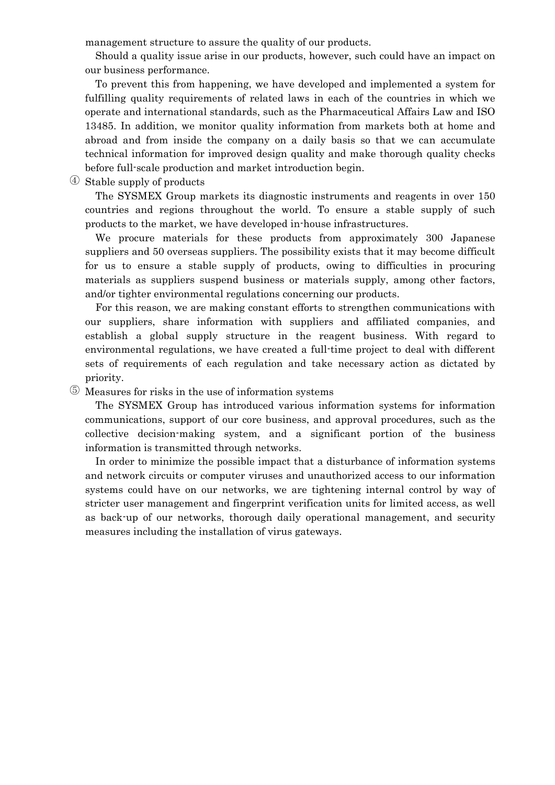management structure to assure the quality of our products.

Should a quality issue arise in our products, however, such could have an impact on our business performance.

To prevent this from happening, we have developed and implemented a system for fulfilling quality requirements of related laws in each of the countries in which we operate and international standards, such as the Pharmaceutical Affairs Law and ISO 13485. In addition, we monitor quality information from markets both at home and abroad and from inside the company on a daily basis so that we can accumulate technical information for improved design quality and make thorough quality checks before full-scale production and market introduction begin.

④ Stable supply of products

The SYSMEX Group markets its diagnostic instruments and reagents in over 150 countries and regions throughout the world. To ensure a stable supply of such products to the market, we have developed in-house infrastructures.

We procure materials for these products from approximately 300 Japanese suppliers and 50 overseas suppliers. The possibility exists that it may become difficult for us to ensure a stable supply of products, owing to difficulties in procuring materials as suppliers suspend business or materials supply, among other factors, and/or tighter environmental regulations concerning our products.

For this reason, we are making constant efforts to strengthen communications with our suppliers, share information with suppliers and affiliated companies, and establish a global supply structure in the reagent business. With regard to environmental regulations, we have created a full-time project to deal with different sets of requirements of each regulation and take necessary action as dictated by priority.

⑤ Measures for risks in the use of information systems

The SYSMEX Group has introduced various information systems for information communications, support of our core business, and approval procedures, such as the collective decision-making system, and a significant portion of the business information is transmitted through networks.

In order to minimize the possible impact that a disturbance of information systems and network circuits or computer viruses and unauthorized access to our information systems could have on our networks, we are tightening internal control by way of stricter user management and fingerprint verification units for limited access, as well as back-up of our networks, thorough daily operational management, and security measures including the installation of virus gateways.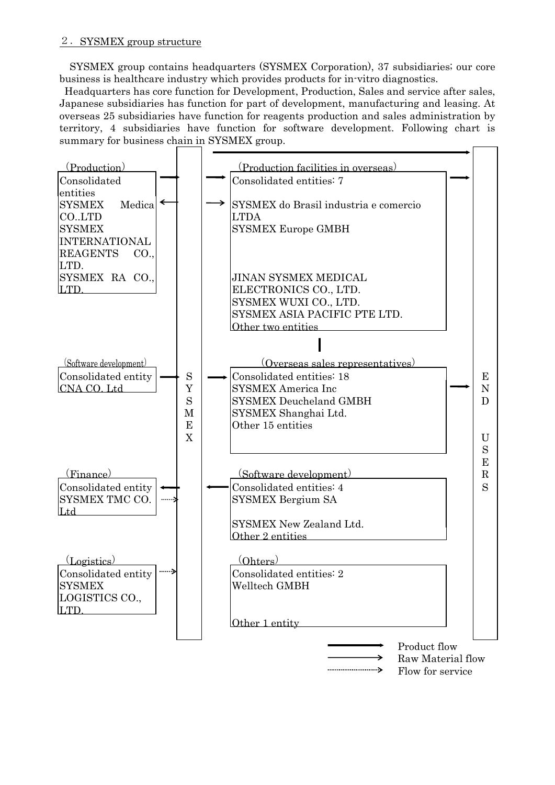SYSMEX group contains headquarters (SYSMEX Corporation), 37 subsidiaries; our core business is healthcare industry which provides products for in-vitro diagnostics.

 Headquarters has core function for Development, Production, Sales and service after sales, Japanese subsidiaries has function for part of development, manufacturing and leasing. At overseas 25 subsidiaries have function for reagents production and sales administration by territory, 4 subsidiaries have function for software development. Following chart is summary for business chain in SYSMEX group.

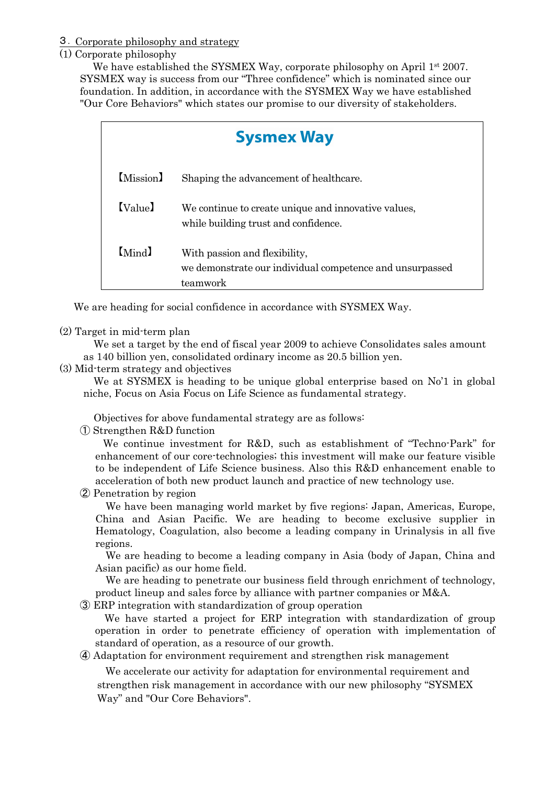#### 3.Corporate philosophy and strategy

# (1) Corporate philosophy

We have established the SYSMEX Way, corporate philosophy on April 1<sup>st</sup> 2007. SYSMEX way is success from our "Three confidence" which is nominated since our foundation. In addition, in accordance with the SYSMEX Way we have established "Our Core Behaviors" which states our promise to our diversity of stakeholders.

|                      | <b>Sysmex Way</b>                                                                                     |  |  |  |  |  |  |  |
|----------------------|-------------------------------------------------------------------------------------------------------|--|--|--|--|--|--|--|
| [Mission]            | Shaping the advancement of healthcare.                                                                |  |  |  |  |  |  |  |
| [V <sub>alue</sub> ] | We continue to create unique and innovative values,<br>while building trust and confidence.           |  |  |  |  |  |  |  |
| [Mind]               | With passion and flexibility,<br>we demonstrate our individual competence and unsurpassed<br>teamwork |  |  |  |  |  |  |  |

We are heading for social confidence in accordance with SYSMEX Way.

# (2) Target in mid-term plan

We set a target by the end of fiscal year 2009 to achieve Consolidates sales amount as 140 billion yen, consolidated ordinary income as 20.5 billion yen.

# (3) Mid-term strategy and objectives

We at SYSMEX is heading to be unique global enterprise based on No<sup>'1</sup> in global niche, Focus on Asia Focus on Life Science as fundamental strategy.

Objectives for above fundamental strategy are as follows:

① Strengthen R&D function

We continue investment for R&D, such as establishment of "Techno-Park" for enhancement of our core-technologies; this investment will make our feature visible to be independent of Life Science business. Also this R&D enhancement enable to acceleration of both new product launch and practice of new technology use.

② Penetration by region

We have been managing world market by five regions: Japan, Americas, Europe, China and Asian Pacific. We are heading to become exclusive supplier in Hematology, Coagulation, also become a leading company in Urinalysis in all five regions.

We are heading to become a leading company in Asia (body of Japan, China and Asian pacific) as our home field.

We are heading to penetrate our business field through enrichment of technology, product lineup and sales force by alliance with partner companies or M&A.

③ ERP integration with standardization of group operation

 We have started a project for ERP integration with standardization of group operation in order to penetrate efficiency of operation with implementation of standard of operation, as a resource of our growth.

④ Adaptation for environment requirement and strengthen risk management

We accelerate our activity for adaptation for environmental requirement and strengthen risk management in accordance with our new philosophy "SYSMEX Way" and "Our Core Behaviors".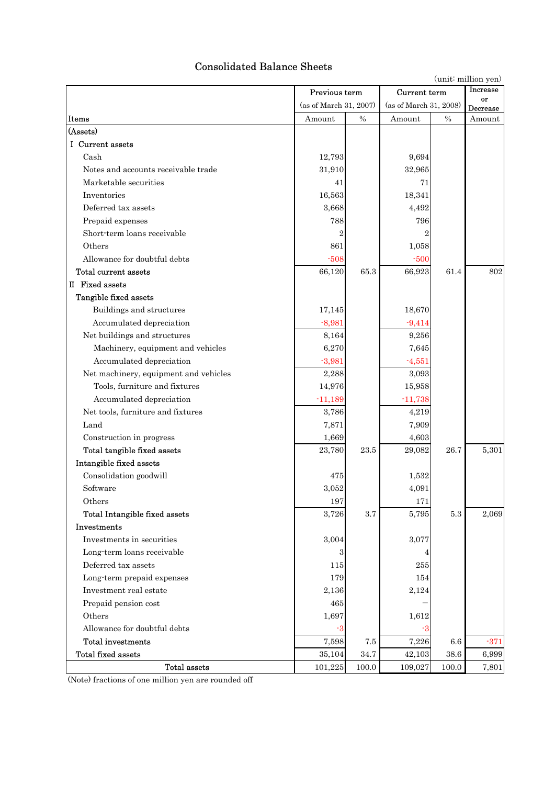# Consolidated Balance Sheets

(unit: million yen)

|                                       |                        | Previous term<br>Current term |                        | Increase |                    |
|---------------------------------------|------------------------|-------------------------------|------------------------|----------|--------------------|
|                                       | (as of March 31, 2007) |                               | (as of March 31, 2008) |          | or                 |
| Items                                 | Amount                 | $\frac{0}{0}$                 | Amount                 | $\%$     | Decrease<br>Amount |
| (Assets)                              |                        |                               |                        |          |                    |
| I Current assets                      |                        |                               |                        |          |                    |
| Cash                                  | 12,793                 |                               | 9,694                  |          |                    |
| Notes and accounts receivable trade   | 31,910                 |                               | 32,965                 |          |                    |
| Marketable securities                 | 41                     |                               | 71                     |          |                    |
| Inventories                           | 16,563                 |                               | 18,341                 |          |                    |
| Deferred tax assets                   | 3,668                  |                               | 4,492                  |          |                    |
| Prepaid expenses                      | 788                    |                               | 796                    |          |                    |
| Short-term loans receivable           |                        |                               | $\overline{2}$         |          |                    |
| Others                                |                        |                               |                        |          |                    |
|                                       | 861                    |                               | 1,058                  |          |                    |
| Allowance for doubtful debts          | $-508$                 |                               | $-500$                 |          |                    |
| Total current assets                  | 66,120                 | 65.3                          | 66,923                 | 61.4     | 802                |
| II Fixed assets                       |                        |                               |                        |          |                    |
| Tangible fixed assets                 |                        |                               |                        |          |                    |
| Buildings and structures              | 17,145                 |                               | 18,670                 |          |                    |
| Accumulated depreciation              | $-8,981$               |                               | $-9,414$               |          |                    |
| Net buildings and structures          | 8,164                  |                               | 9,256                  |          |                    |
| Machinery, equipment and vehicles     | 6,270                  |                               | 7,645                  |          |                    |
| Accumulated depreciation              | $-3,981$               |                               | $-4,551$               |          |                    |
| Net machinery, equipment and vehicles | 2,288                  |                               | 3,093                  |          |                    |
| Tools, furniture and fixtures         | 14,976                 |                               | 15,958                 |          |                    |
| Accumulated depreciation              | $-11,189$              |                               | $-11,738$              |          |                    |
| Net tools, furniture and fixtures     | 3,786                  |                               | 4,219                  |          |                    |
| Land                                  | 7,871                  |                               | 7,909                  |          |                    |
| Construction in progress              | 1,669                  |                               | 4,603                  |          |                    |
| Total tangible fixed assets           | 23,780                 | 23.5                          | 29,082                 | 26.7     | 5,301              |
| Intangible fixed assets               |                        |                               |                        |          |                    |
| Consolidation goodwill                | 475                    |                               | 1,532                  |          |                    |
| Software                              | 3,052                  |                               | 4,091                  |          |                    |
| Others                                | 197                    |                               | 171                    |          |                    |
| Total Intangible fixed assets         | 3,726                  | 3.7                           | 5,795                  | $5.3\,$  | 2,069              |
| Investments                           |                        |                               |                        |          |                    |
| Investments in securities             | 3,004                  |                               | 3,077                  |          |                    |
| Long-term loans receivable            | 3                      |                               | 4                      |          |                    |
| Deferred tax assets                   | 115                    |                               | 255                    |          |                    |
| Long-term prepaid expenses            | 179                    |                               | 154                    |          |                    |
| Investment real estate                | 2,136                  |                               | 2,124                  |          |                    |
| Prepaid pension cost                  | 465                    |                               |                        |          |                    |
| Others                                | 1,697                  |                               | 1,612                  |          |                    |
| Allowance for doubtful debts          | -3                     |                               | -3                     |          |                    |
| <b>Total investments</b>              | 7,598                  | 7.5                           | 7,226                  | 6.6      | $-371$             |
| <b>Total fixed assets</b>             | 35,104                 | 34.7                          | 42,103                 | $38.6\,$ | 6,999              |
| Total assets                          | 101,225                | 100.0                         | 109,027                | 100.0    | 7,801              |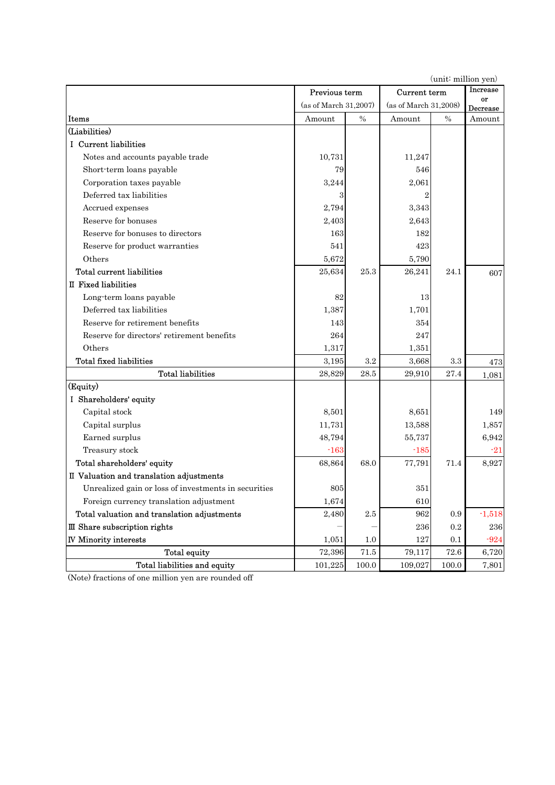Previous term Current term (as of March 31,2007) (as of March 31,2008) **Items** Amount  $\begin{array}{|c|c|c|c|c|}\n\hline\n\text{Lemma} & \text{A}\n\end{array}$  Amount  $\begin{array}{|c|c|c|c|c|}\n\hline\n\text{A}\n\end{array}$  Amount  $\begin{array}{|c|c|c|c|c|}\n\hline\n\text{A}\n\end{array}$ (Liabilities) Ⅰ Current liabilities Notes and accounts payable trade  $10,731$  11,247 Short-term loans payable 79 79 546 Corporation taxes payable  $3,244$   $3,244$   $2,061$ Deferred tax liabilities 3 2 Accrued expenses 2,794 3,343 Reserve for bonuses  $2,403$  2,403 2,643 Reserve for bonuses to directors 163 182 Reserve for product warranties  $541$   $541$   $423$ Others 6,672 5,790 **Total current liabilities** 25,634 25.3 26,241 24.1 607 Ⅱ Fixed liabilities Long-term loans payable 82 13 Deferred tax liabilities  $1.387$  1,387 1.701 Reserve for retirement benefits 143 354 Reserve for directors' retirement benefits 264 264 247 Others 1,317 1,351 Total fixed liabilities  $3,195 \begin{array}{|c|c|c|c|c|} \hline 3,195 & 3.2 & 3,668 & 3.3 & 473 \ \hline \end{array}$ Total liabilities 28,829 28.5 29,910 27.4 1,081 (Equity) Ⅰ Shareholders' equity Capital stock  $8,501$  8,501 8,651 149 Capital surplus 11,857 11,731 13,588 1,857 Earned surplus 6,942 (and the state of the state of the state of the state of the state of the state of the state of the state of the state of the state of the state of the state of the state of the state of the state of t Treasury stock  $\sim$  163  $\sim$  163  $\sim$  185  $\sim$  21 **Total shareholders' equity**  $68,864$   $68.0$   $77,791$   $71.4$   $8,927$ Ⅱ Valuation and translation adjustments Unrealized gain or loss of investments in securities 805 805 351 Foreign currency translation adjustment  $1,674$  610 Total valuation and translation adjustments  $2,480$   $2.5$   $962$   $0.9$   $1,518$ III Share subscription rights  $236$   $0.2$   $236$ **N** Minority interests  $1,051$   $1.0$   $127$   $0.1$   $0.24$ Total equity **72,396** 71.5 79,117 72.6 6,720 Total liabilities and equity  $101,225 \begin{bmatrix} 100.0 & 109,027 & 100.0 & 7,801 \end{bmatrix}$ Increase or Decrease (unit: million yen)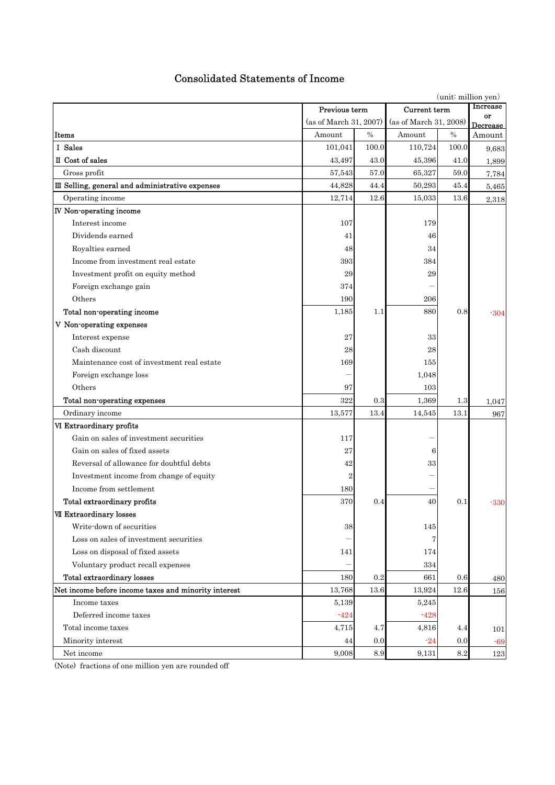# Consolidated Statements of Income

|                                                      |                        | (unit: million yen) |                        |                |        |
|------------------------------------------------------|------------------------|---------------------|------------------------|----------------|--------|
|                                                      | Previous term          | Current term        |                        | Increase       |        |
|                                                      | (as of March 31, 2007) |                     | (as of March 31, 2008) | or<br>Decrease |        |
| Items                                                | Amount                 | $\%$                | Amount                 | $\%$           | Amount |
| I Sales                                              | 101,041                | 100.0               | 110,724                | 100.0          | 9,683  |
| II Cost of sales                                     | 43,497                 | 43.0                | 45,396                 | 41.0           | 1,899  |
| Gross profit                                         | 57,543                 | 57.0                | 65,327                 | 59.0           | 7,784  |
| III Selling, general and administrative expenses     | 44,828                 | 44.4                | 50,293                 | 45.4           | 5,465  |
| Operating income                                     | 12,714                 | 12.6                | 15,033                 | 13.6           | 2,318  |
| <b>IV</b> Non-operating income                       |                        |                     |                        |                |        |
| Interest income                                      | 107                    |                     | 179                    |                |        |
| Dividends earned                                     | 41                     |                     | 46                     |                |        |
| Royalties earned                                     | 48                     |                     | 34                     |                |        |
| Income from investment real estate                   | 393                    |                     | 384                    |                |        |
| Investment profit on equity method                   | 29                     |                     | 29                     |                |        |
| Foreign exchange gain                                | 374                    |                     |                        |                |        |
| Others                                               | 190                    |                     | 206                    |                |        |
| Total non-operating income                           | 1,185                  | 1.1                 | 880                    | 0.8            | $-304$ |
| V Non-operating expenses                             |                        |                     |                        |                |        |
| Interest expense                                     | 27                     |                     | 33                     |                |        |
| Cash discount                                        | 28                     |                     | 28                     |                |        |
| Maintenance cost of investment real estate           | 169                    |                     | 155                    |                |        |
| Foreign exchange loss                                |                        |                     | 1,048                  |                |        |
| Others                                               | 97                     |                     | 103                    |                |        |
| Total non-operating expenses                         | 322                    | 0.3                 | 1,369                  | $1.3\,$        | 1,047  |
| Ordinary income                                      | 13,577                 | 13.4                | 14,545                 | 13.1           | 967    |
| VI Extraordinary profits                             |                        |                     |                        |                |        |
| Gain on sales of investment securities               | 117                    |                     |                        |                |        |
| Gain on sales of fixed assets                        | 27                     |                     | 6                      |                |        |
| Reversal of allowance for doubtful debts             | 42                     |                     | 33                     |                |        |
| Investment income from change of equity              | $\overline{2}$         |                     |                        |                |        |
| Income from settlement                               | 180                    |                     |                        |                |        |
| Total extraordinary profits                          | 370                    | 0.4                 | 40                     | 0.1            | -330   |
| <b>VII Extraordinary losses</b>                      |                        |                     |                        |                |        |
| Write-down of securities                             | 38                     |                     | 145                    |                |        |
| Loss on sales of investment securities               |                        |                     |                        |                |        |
| Loss on disposal of fixed assets                     | 141                    |                     | 174                    |                |        |
| Voluntary product recall expenses                    |                        |                     | 334                    |                |        |
| Total extraordinary losses                           | 180                    | 0.2                 | 661                    | 0.6            | 480    |
| Net income before income taxes and minority interest | 13,768                 | 13.6                | 13,924                 | 12.6           | 156    |
| Income taxes                                         | 5,139                  |                     | 5,245                  |                |        |
| Deferred income taxes                                | $-424$                 |                     | $-428$                 |                |        |
| Total income taxes                                   | 4,715                  | 4.7                 | 4,816                  | 4.4            | 101    |
| Minority interest                                    | 44                     | 0.0                 | $-24$                  | 0.0            | $-69$  |
| Net income                                           | 9,008                  | 8.9                 | 9,131                  | $\ \, 8.2$     | 123    |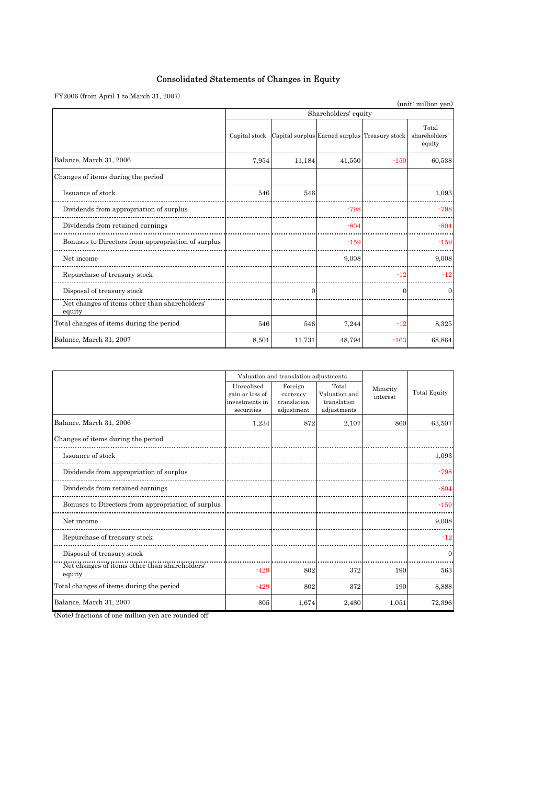# Consolidated Statements of Changes in Equity

 ${\rm FY2006}$  (from April 1 to March 31, 2007)

| $\Gamma$ 12000 (from April 1 to March 51, 2007)         |                      |                                               |        |        | (unit: million yen)              |  |  |
|---------------------------------------------------------|----------------------|-----------------------------------------------|--------|--------|----------------------------------|--|--|
|                                                         | Shareholders' equity |                                               |        |        |                                  |  |  |
|                                                         | Capital stock        | Capital surplus Earned surplus Treasury stock |        |        | Total<br>shareholders'<br>equity |  |  |
| Balance, March 31, 2006                                 | 7,954                | 11,184                                        | 41,550 | $-150$ | 60,538                           |  |  |
| Changes of items during the period                      |                      |                                               |        |        |                                  |  |  |
| Issuance of stock                                       | 546                  | 546                                           |        |        | 1,093                            |  |  |
| Dividends from appropriation of surplus                 |                      |                                               | $-798$ |        | $-798$                           |  |  |
| Dividends from retained earnings                        |                      |                                               | $-804$ |        | $-804$                           |  |  |
| Bonuses to Directors from appropriation of surplus      |                      |                                               | $-159$ |        | $-159$                           |  |  |
| Net income                                              |                      |                                               | 9,008  |        | 9,008                            |  |  |
| Repurchase of treasury stock                            |                      |                                               |        | $-12$  | $-12$                            |  |  |
| Disposal of treasury stock                              |                      | $\mathbf{0}$                                  |        | 0      | 0                                |  |  |
| Net changes of items other than shareholders'<br>equity |                      |                                               |        |        |                                  |  |  |
| Total changes of items during the period                | 546                  | 546                                           | 7,244  | $-12$  | 8,325                            |  |  |
| Balance, March 31, 2007                                 | 8,501                | 11,731                                        | 48,794 | $-163$ | 68,864                           |  |  |

|                                                         |                                                               | Valuation and translation adjustments            |                                                      |                      |                     |
|---------------------------------------------------------|---------------------------------------------------------------|--------------------------------------------------|------------------------------------------------------|----------------------|---------------------|
|                                                         | Unrealized<br>gain or loss of<br>investments in<br>securities | Foreign<br>currency<br>translation<br>adjustment | Total<br>Valuation and<br>translation<br>adjustments | Minority<br>interest | <b>Total Equity</b> |
| Balance, March 31, 2006                                 | 1,234                                                         | 872                                              | 2,107                                                | 860                  | 63,507              |
| Changes of items during the period                      |                                                               |                                                  |                                                      |                      |                     |
| Issuance of stock                                       |                                                               |                                                  |                                                      |                      | 1,093               |
| Dividends from appropriation of surplus                 |                                                               |                                                  |                                                      |                      | $-798$              |
| Dividends from retained earnings                        |                                                               |                                                  |                                                      |                      | $-804$              |
| Bonuses to Directors from appropriation of surplus      |                                                               |                                                  |                                                      |                      | $-159$              |
| Net income                                              |                                                               |                                                  |                                                      |                      | 9,008               |
| Repurchase of treasury stock                            |                                                               |                                                  |                                                      |                      | $-12$               |
| Disposal of treasury stock                              |                                                               |                                                  |                                                      |                      | $\Omega$            |
| Net changes of items other than shareholders'<br>equity | $-429$                                                        | 802                                              | 372                                                  | 190                  | 563                 |
| Total changes of items during the period                | $-429$                                                        | 802                                              | 372                                                  | 190                  | 8,888               |
| Balance, March 31, 2007                                 | 805                                                           | 1,674                                            | 2,480                                                | 1,051                | 72,396              |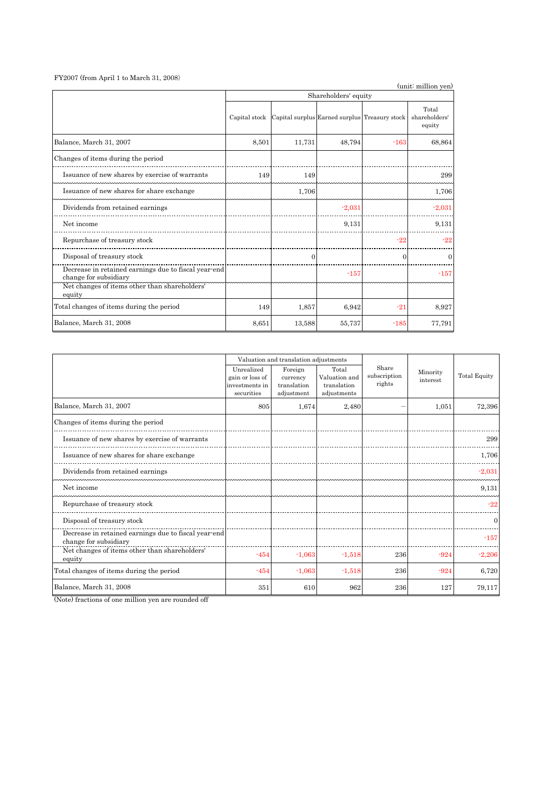#### FY2007 (from April 1 to March 31, 2008)

| $fY2007$ (from April 1 to March 31, 2008)                                                                                                |                      |                                               |          |          | (unit: million yen)              |  |  |
|------------------------------------------------------------------------------------------------------------------------------------------|----------------------|-----------------------------------------------|----------|----------|----------------------------------|--|--|
|                                                                                                                                          | Shareholders' equity |                                               |          |          |                                  |  |  |
|                                                                                                                                          | Capital stock        | Capital surplus Earned surplus Treasury stock |          |          | Total<br>shareholders'<br>equity |  |  |
| Balance, March 31, 2007                                                                                                                  | 8,501                | 11,731                                        | 48,794   | $-163$   | 68,864                           |  |  |
| Changes of items during the period                                                                                                       |                      |                                               |          |          |                                  |  |  |
| Issuance of new shares by exercise of warrants                                                                                           | 149                  | 149                                           |          |          | 299                              |  |  |
| Issuance of new shares for share exchange                                                                                                |                      | 1,706                                         |          |          | 1,706                            |  |  |
| Dividends from retained earnings                                                                                                         |                      |                                               | $-2,031$ |          | $-2,031$                         |  |  |
| Net income                                                                                                                               |                      |                                               | 9,131    |          | 9,131                            |  |  |
| Repurchase of treasury stock                                                                                                             |                      |                                               |          | $-22$    | $-22$                            |  |  |
| Disposal of treasury stock                                                                                                               |                      | $\Omega$                                      |          | $\Omega$ | 0                                |  |  |
| Decrease in retained earnings due to fiscal year-end<br>change for subsidiary<br>Net changes of items other than shareholders'<br>equity |                      |                                               | $-157$   |          | $-157$                           |  |  |
| Total changes of items during the period                                                                                                 | 149                  | 1,857                                         | 6,942    | $-21$    | 8,927                            |  |  |
| Balance, March 31, 2008                                                                                                                  | 8,651                | 13,588                                        | 55,737   | $-185$   | 77,791                           |  |  |

|                                                                               |                                                               | Valuation and translation adjustments            |                                                      |                                 |                      |                     |
|-------------------------------------------------------------------------------|---------------------------------------------------------------|--------------------------------------------------|------------------------------------------------------|---------------------------------|----------------------|---------------------|
|                                                                               | Unrealized<br>gain or loss of<br>investments in<br>securities | Foreign<br>currency<br>translation<br>adjustment | Total<br>Valuation and<br>translation<br>adjustments | Share<br>subscription<br>rights | Minority<br>interest | <b>Total Equity</b> |
| Balance, March 31, 2007                                                       | 805                                                           | 1,674                                            | 2,480                                                |                                 | 1,051                | 72,396              |
| Changes of items during the period                                            |                                                               |                                                  |                                                      |                                 |                      |                     |
| Issuance of new shares by exercise of warrants                                |                                                               |                                                  |                                                      |                                 |                      | 299                 |
| Issuance of new shares for share exchange                                     |                                                               |                                                  |                                                      |                                 |                      | 1,706               |
| Dividends from retained earnings                                              |                                                               |                                                  |                                                      |                                 |                      | $-2,031$            |
| Net income                                                                    |                                                               |                                                  |                                                      |                                 |                      | 9,131               |
| Repurchase of treasury stock                                                  |                                                               |                                                  |                                                      |                                 |                      | $-22$               |
| Disposal of treasury stock                                                    |                                                               |                                                  |                                                      |                                 |                      | $\Omega$            |
| Decrease in retained earnings due to fiscal year-end<br>change for subsidiary |                                                               |                                                  |                                                      |                                 |                      | $-157$              |
| Net changes of items other than shareholders'<br>equity                       | $-454$                                                        | $-1,063$                                         | $-1,518$                                             | 236                             | $-924$               | $-2,206$            |
| Total changes of items during the period                                      | $-454$                                                        | $-1,063$                                         | $-1,518$                                             | 236                             | $-924$               | 6,720               |
| Balance, March 31, 2008                                                       | 351                                                           | 610                                              | 962                                                  | 236                             | 127                  | 79,117              |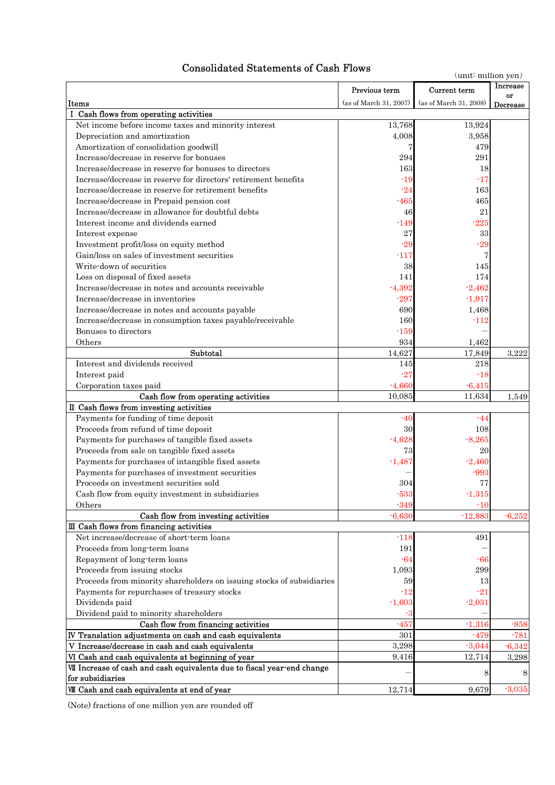# Consolidated Statements of Cash Flows

|                                                                         |                        | (unit: million yen)    |                 |
|-------------------------------------------------------------------------|------------------------|------------------------|-----------------|
|                                                                         | Previous term          | Current term           | <b>Increase</b> |
| Items                                                                   | (as of March 31, 2007) | (as of March 31, 2008) | or<br>Decrease  |
| I Cash flows from operating activities                                  |                        |                        |                 |
| Net income before income taxes and minority interest                    | 13,768                 | 13,924                 |                 |
| Depreciation and amortization                                           | 4,008                  | 3,958                  |                 |
| Amortization of consolidation goodwill                                  |                        | 479                    |                 |
| Increase/decrease in reserve for bonuses                                | 294                    | 291                    |                 |
| Increase/decrease in reserve for bonuses to directors                   | 163                    | 18                     |                 |
| Increase/decrease in reserve for directors' retirement benefits         | $-19$                  | $-17$                  |                 |
| Increase/decrease in reserve for retirement benefits                    | $-24$                  | 163                    |                 |
| Increase/decrease in Prepaid pension cost                               | -465                   | 465                    |                 |
| Increase/decrease in allowance for doubtful debts                       | 46                     | 21                     |                 |
| Interest income and dividends earned                                    |                        | $-225$                 |                 |
|                                                                         | -149                   |                        |                 |
| Interest expense                                                        | 27                     | 33                     |                 |
| Investment profit/loss on equity method                                 | $-29$                  | $-29$                  |                 |
| Gain/loss on sales of investment securities                             | $-117$                 | 7                      |                 |
| Write-down of securities                                                | 38                     | 145                    |                 |
| Loss on disposal of fixed assets                                        | 141                    | 174                    |                 |
| Increase/decrease in notes and accounts receivable                      | $-4,392$               | $-2,462$               |                 |
| Increase/decrease in inventories                                        | $-297$                 | $-1,917$               |                 |
| Increase/decrease in notes and accounts payable                         | 690                    | 1,468                  |                 |
| Increase/decrease in consumption taxes payable/receivable               | 160                    | $-112$                 |                 |
| Bonuses to directors                                                    | -159                   |                        |                 |
| Others                                                                  | 934                    | 1,462                  |                 |
| Subtotal                                                                | 14,627                 | 17,849                 | 3,222           |
| Interest and dividends received                                         | 145                    | 218                    |                 |
| Interest paid                                                           | $-27$                  | $-18$                  |                 |
| Corporation taxes paid                                                  | $-4,660$               | $-6,415$               |                 |
| Cash flow from operating activities                                     | 10,085                 | 11,634                 | 1,549           |
| II Cash flows from investing activities                                 |                        |                        |                 |
| Payments for funding of time deposit                                    | -40                    | -44                    |                 |
| Proceeds from refund of time deposit                                    | 30                     | 108                    |                 |
| Payments for purchases of tangible fixed assets                         | $-4,628$               | $-8,265$               |                 |
| Proceeds from sale on tangible fixed assets                             | 73                     | 20                     |                 |
| Payments for purchases of intangible fixed assets                       | $-1,487$               | $-2,460$               |                 |
| Payments for purchases of investment securities                         |                        | $-993$                 |                 |
| Proceeds on investment securities sold                                  | 304                    | 77                     |                 |
| Cash flow from equity investment in subsidiaries                        | $-533$                 | $-1,315$               |                 |
| Others                                                                  | $-349$                 | $-10$                  |                 |
| Cash flow from investing activities                                     | $-6,630$               | $-12,883$              | $-6,252$        |
| III Cash flows from financing activities                                |                        |                        |                 |
| Net increase/decrease of short-term loans                               | $-118$                 | 491                    |                 |
| Proceeds from long-term loans                                           | 191                    |                        |                 |
| Repayment of long-term loans                                            | -64                    | -66                    |                 |
| Proceeds from issuing stocks                                            | 1,093                  | 299                    |                 |
| Proceeds from minority shareholders on issuing stocks of subsidiaries   | 59                     | 13                     |                 |
| Payments for repurchases of treasury stocks                             | $-12$                  | $-21$                  |                 |
| Dividends paid                                                          | $-1,603$               | $-2,031$               |                 |
| Dividend paid to minority shareholders                                  | $-3$                   |                        |                 |
| Cash flow from financing activities                                     | $-457$                 | $-1,316$               | $-858$          |
| IV Translation adjustments on cash and cash equivalents                 | 301                    | $-479$                 | $-781$          |
| V Increase/decrease in cash and cash equivalents                        | 3,298                  | $-3,044$               | $-6,342$        |
| VI Cash and cash equivalents at beginning of year                       | 9,416                  | 12,714                 | 3,298           |
| VII Increase of cash and cash equivalents due to fiscal year-end change |                        | 8                      | 8               |
| for subsidiaries                                                        |                        |                        |                 |
| <b>VII</b> Cash and cash equivalents at end of year                     | 12,714                 | 9,679                  | $-3,035$        |